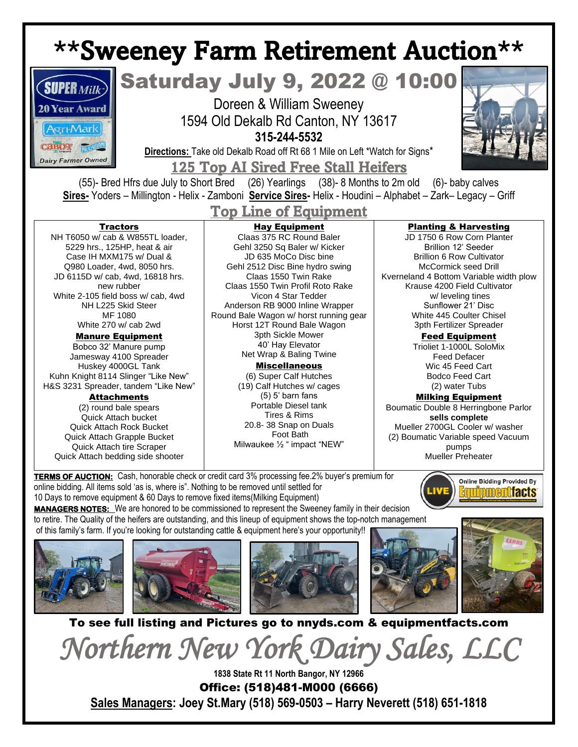# \*\*Sweeney Farm Retirement Auction\*\*



## Saturday July 9, 2022 @ 10:00

Doreen & William Sweeney 1594 Old Dekalb Rd Canton, NY 13617 **315-244-5532**

**Directions:** Take old Dekalb Road off Rt 68 1 Mile on Left \*Watch for Signs\*

125 Top AI Sired Free Stall Heifers

(55)- Bred Hfrs due July to Short Bred (26) Yearlings (38)- 8 Months to 2m old (6)- baby calves **Sires-** Yoders – Millington - Helix - Zamboni **Service Sires-** Helix - Houdini – Alphabet – Zark– Legacy – Griff

### Top Line of Equipment

#### **Tractors**

NH T6050 w/ cab & W855TL loader, 5229 hrs., 125HP, heat & air Case IH MXM175 w/ Dual & Q980 Loader, 4wd, 8050 hrs. JD 6115D w/ cab, 4wd, 16818 hrs. new rubber White 2-105 field boss w/ cab, 4wd NH L225 Skid Steer MF 1080 White 270 w/ cab 2wd

#### Manure Equipment

Bobco 32' Manure pump Jamesway 4100 Spreader Huskey 4000GL Tank Kuhn Knight 8114 Slinger "Like New" H&S 3231 Spreader, tandem "Like New"

#### Attachments

(2) round bale spears Quick Attach bucket Quick Attach Rock Bucket Quick Attach Grapple Bucket Quick Attach tire Scraper Quick Attach bedding side shooter

#### Hay Equipment

Claas 375 RC Round Baler Gehl 3250 Sq Baler w/ Kicker JD 635 MoCo Disc bine Gehl 2512 Disc Bine hydro swing Claas 1550 Twin Rake Claas 1550 Twin Profil Roto Rake Vicon 4 Star Tedder Anderson RB 9000 Inline Wrapper Round Bale Wagon w/ horst running gear Horst 12T Round Bale Wagon 3pth Sickle Mower 40' Hay Elevator Net Wrap & Baling Twine

> Miscellaneous (6) Super Calf Hutches (19) Calf Hutches w/ cages (5) 5' barn fans Portable Diesel tank Tires & Rims 20.8- 38 Snap on Duals Foot Bath Milwaukee ½ " impact "NEW"

#### Planting & Harvesting

JD 1750 6 Row Corn Planter Brillion 12' Seeder Brillion 6 Row Cultivator McCormick seed Drill Kverneland 4 Bottom Variable width plow Krause 4200 Field Cultivator w/ leveling tines Sunflower 21' Disc White 445 Coulter Chisel 3pth Fertilizer Spreader

Feed Equipment

Trioliet 1-1000L SoloMix Feed Defacer Wic 45 Feed Cart Bodco Feed Cart (2) water Tubs

Milking Equipment Boumatic Double 8 Herringbone Parlor **sells complete** Mueller 2700GL Cooler w/ washer (2) Boumatic Variable speed Vacuum pumps Mueller Preheater

**TERMS OF AUCTION:** Cash, honorable check or credit card 3% processing fee.2% buyer's premium for online bidding. All items sold 'as is, where is". Nothing to be removed until settled for 10 Days to remove equipment & 60 Days to remove fixed items(Milking Equipment)

**Online Bidding Provided By uinmentfacts** 

**MANAGERS NOTES:** We are honored to be commissioned to represent the Sweeney family in their decision to retire. The Quality of the heifers are outstanding, and this lineup of equipment shows the top-notch management of this family's farm. If you're looking for outstanding cattle & equipment here's your opportunity!!











To see full listing and Pictures go to nnyds.com & equipmentfacts.com

*Northern New York Dairy Sales, LLC* 

**1838 State Rt 11 North Bangor, NY 12966** Office: (518)481-M000 (6666) **Sales Managers: Joey St.Mary (518) 569-0503 – Harry Neverett (518) 651-1818**